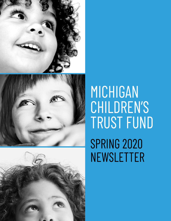





# MICHIGAN CHILDREN'S TRUST FUND **SPRING 2020** NEWSLETTER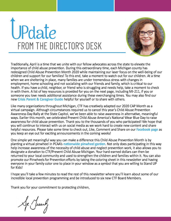# **Pdate FROM THE DIRECTOR'S DESK**



Traditionally, April is a time that we unite with our fellow advocates across the state to elevate the importance of child abuse prevention. During this extraordinary time, each Michigan county has redesigned Child Abuse Prevention Month 2020 while maintaining our laser focus on the well-being of our children and support for our families! To this end, take a moment to watch out for our children. At a time when we are sheltering in place, many families are under tremendous stress with changes in employment, home schooling and not socializing with our friends and family, which is critical to our health. If you have a child, neighbor, or friend who is struggling and needs help, take a moment to check in with them. A list of key resources is provided for you on the next page, including Ml-211, if you or someone you love needs additional assistance during these everchanging times. You may also find our new **Crisis Parent** & **[Caregiver Guide](https://www.michigan.gov/documents/ctf/CTF_Parent_Guide_687268_7.pdf)** helpful for yourself or to share with others.

Like many organizations throughout Michigan, CTF has creatively adapted our 2020 CAP Month as a virtual campaign. Although circumstances required us to cancel this year's Child Abuse Prevention Awareness Day Rally at the State Capitol, we've been able to raise awareness in alternative, meaningful ways. Earlier this month, we celebrated Prevent Child Abuse America's National Wear Blue Day to raise awareness for child abuse prevention. Thank you to the thousands of you who participated! We hope that you will continue to interact with us on social media as we work hard to create new content and share helpful resources. Please take some time to check out, Like, Comment and Share on our **[Facebook page](http://www.facebook.com/MichiganCTF)** as you keep an eye out for exciting announcements in the coming weeks!

One simple yet meaningful way you can make a difference this Child Abuse Prevention Month is by planting a virtual pinwheel in PCAA's [nationwide pinwheel garden](https://pinwheels.preventchildabuse.org/). Not only does participating in this way help increase awareness of the necessity of child abuse and neglect prevention work, it also allows you to designate a donation to CTF/Prevent Child Abuse Michigan. Your hard-earned dollars can then be returned to your local community and used to strengthen the children and families within it. You can also promote our Pinwheels for Prevention efforts by taking the coloring sheet in this newsletter and having everyone in your family color one to place in your window as a symbol that you are willing to Stand UP for Kids!

I hope you'll take a few minutes to read the rest of this newsletter where you'll learn about some of our incredible local prevention programming and be introduced to six new CTF Board Members.

Thank you for your commitment to protecting children,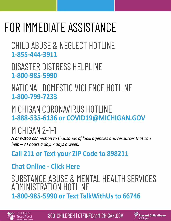# FOR IMMEDIATE ASSISTANCE

CHILD ABUSE & NEGLECT HOTLINE 1-855-444-3911

DISASTER DISTRESS HELPLINE 1-800-985-5990

NATIONAL DOMESTIC VIOLENCE HOTLINE 1-800-799-7233

MICHIGAN CORONAVIRUS HOTLINE 1-888-535-6136 or COVID19@MICHIGAN.GOV

## MICHIGAN 2-1-1

*A one-stop connection to thousands of local agencies and resources that can help-24 hours a day,* 7 *days a week.* 

## Call 211 or Text your ZIP Code to 898211

## [Chat Online - Click Here](https://www.mi211.org/)

## SUBSTANCE ABUSE & MENTAL HEALTH SERVICES ADMINISTRATION HOTLINE 1-800-985-5990 or Text TalkWithUs to 66746



800-CHILDREN | CTFINFO@MICHIGAN.GOV

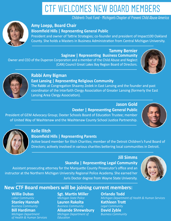## CTF WELCOMES NEW BOARD MEMBERS

**Children's Trust Fund - Michigan's Chapter of Prevent Child Abuse America** 



### **Amy Loepp, Board Chair Bloomfield Hills | Representing General Public**

President and owner of Tattrie Strategies; co-founder and president of Impact100 Oakland County. She holds a Masters in Business Administration from Central Michigan University.

**Tammy Bernier Saginaw | Representing Business Community** Owner and CEO of the Duperon Corporation and a member of the Child Abuse and Neglect

(CAN) Council Great Lakes Bay Region Board of Directors.





### **RabbiAmyBigman East Lansing | Representing Religious Community**

The Rabbi at Congregation Shaarey Zedek in East Lansing and the founder and past coordinator of the Interfaith Clergy Association of Greater Lansing (formerly the East Lansing Area Clergy Association).

### **JasonGold Dexter | Representing General Public**

President of GEM Advocacy Group; Dexter Schools Board of Education Trustee; member of United Way of Washtenaw and the Washtenaw County School Justice Partnership.





## **Kelle Ilitch**

## **Bloomfield Hills | Representing Parents**

Active board member for Ilitch Charities; member of the Detroit Children's Fund Board of Directors; actively involved in various charities bettering local communities in Detroit.

## **JillSimms**

## **Skandia | Representing Legal Community**

Assistant prosecuting attorney for the Marquette County Prosecutor's office and an instructor at the Northern Michigan University Regional Police Academy. She earned her Juris Doctor degree from Wayne State University.



## **New CTF Board members will be joining current members:**

*ofHealth&HumanServices EducaƟon*

## **Willie Dubas Sgt. Martin Miller <b>Orlando Todd**<br> *Labor Community* Michigan State Police Michigan Department

**Stanley Hannah Lauren Rakolta Kathleen Trott**<br> *Business Community Business Community Legal Community BusinessCommunity BusinessCommunity LegalCommunity*

*Michigan Department of* 

## *Michigan Department of Health & Human Services* **Bill Hardiman Alisande Shrewsbury David Zyble**<br>Michigan Department **Michigan Department of Business Community**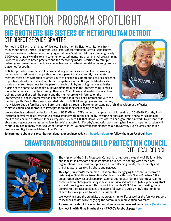# **PREVENTION PROGRAM SPOTLIGHT**

## **BIG BROTHERS BIG SISTERS OF METROPOLITAN DETROIT CTF DIRECT SERVICE GRANTEE**

Formed in 1974 with the merger of five local Big Brother Big Sister organizations from throughout metro Detroit, Big Brothers Big Sisters of Metropolitan Detroit is the largest one-to-one evidence-based mentoring organization in Southeast Michigan, serving nearly 1,000 youth annually with site and community-based mentoring programs. All programming is rooted in evidence-based practices and the mentoring model is certified by multiple federal government departments as an effective evidence-based model in realizing positive outcomes for youth.

BBBSMD provides secondary child abuse and neglect services for families by providing community-based mentors to youth who have a parent that is currently incarcerated. Mentors meet often with their assigned youth to engage in support and activities designed to positively develop social and emotional competence within the youth. Mentors also provide brief respite periods for the parent of each child by engaging them in activities outside of the home. Additionally, BBBSMD offers training in the Strengthening Families model to parents and mentors through their local Child Abuse and Neglect Council. This training ensures that both the parent and the mentor are fully informed on the Strengthening Families framework and able to apply it in their daily interactions with the involved youth. Due to the passion and dedication of BBBSMD employes and supporters,



many Metro Detroit families and children are thriving through a better understanding of child development, effective communication, and appropriate strategies for mediating challenging behaviors.

We are deeply saddened by the loss of one of BBBSMD and CTF's fiercest champions for children due to COVID-19. Dorothy Pugh (pictured above) made a tremendous positive impact with during her life by investing her passion, time, and talents in helping families and children of Detroit. It has always been clear to CTF that Dorothy was vital to her organization's efforts to prevent child abuse and neglect by strengthening families. We're grateful for Dorothy's impactful work during her life and hope her passion will continue to inspire many others to Stand UP for children. Our heartfelt condolences go out to Dorothy Pugh's family and to Big Brothers and Big Sisters of Metropolitan Detroit.

**To learn more about this organization, donate, or get involved, visit: [bbbsdetroit.org](https://www.bbbsdetroit.org/) or follow them on Facebook [here.](https://www.facebook.com/BBBSMetroDetroit/)** 

## **CRAWFORD/ROSCOMMON CHILD PROTECTION COUNCIL CTF LOCAL COUNCIL**



The mission of the Child Protection Council is to improve the quality of life for children and families in Crawford and Roscommon Counties. Partnering with other local organizations, they focus on topics such as safe sleeping habits, carseat safety and bringing awareness to child abuse and neglect.

This April, Crawford/Roscommon CPC is creatively engaging the community (from a distance) in Child Abuse Prevention Month virtually through "Pinny Pinwheel," the organization's newest spokesperson. Council Coordinator Tammy Tyler traversed the community to photograph Pinny in several undiscolsed locations (while practicing strict social distancing, of course). Throughout the month, CRCPC has been posting these pictures to their Facebook page and asking followers to guess Pinny's location for a chance to win a gift card to local establishments.

We love Pinny and the creativity that brought him to life, as well as the fun way support to local businesses while engaging the community in prevention awareness.

**To learn more about this organization, donate, or get involved, email crcpc@mail.com To check in with Pinny Pinwheel, visit CRCPC's Facebook page [here](https://www.facebook.com/crawfordroscommoncountychildprotectioncouncil/).**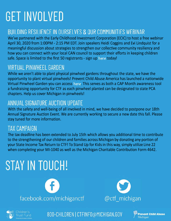# **GET INVOLVED**

## BUILDING RESILIENCE IN OURSELVES & OUR COMMUNITIES WEBINAR

We've partnered with the Early Childhood Investment Corporation (ECIC) to host a free webinar April 30, 2020 from 1:00PM - 2:15 PM EDT. Join speakers Heidi Coggins and Evi Lindquist for a meaningful discussion about strategies to strengthen our collective community resiliency and how you can connect with your local CAN council to support their efforts in keeping children safe. Space is limited to the first 50 registrants - sign up here today!

## **VIRTUAL PINWHEEL GARDEN**

While we aren't able to plant physical pinwheel gardens throughout the state, we have the opportunity to plant virtual pinwheels! Prevent Child Abuse America has launched a nationwide Virtual Pinwheel Garden you can access here. This serves as both a CAP Month awareness tool a fundraising opportunity for CTF as each pinwheel planted can be designated to state PCA chapters. Help us cover Michigan in pinwheels!

## ANNUAL SIGNATURE AUCTION UPDATE

With the safety and well-being of all involved in mind, we have decided to postpone our 18th Annual Signature Auction Event. We are currently working to secure a new date this fall. Please stay tuned for more information.

## **TAX CAMPAIGN**

The tax deadline has been extended to July 15th which allows you additional time to contribute to the strengthening of our children and families across Michigan by donating any portion of your State Income Tax Return to CTF! To Stand Up for Kids in this way, simply utilize Line 22 when completing your Ml-1040 as well as the Michigan Charitable Contribution Form 4642.

# **STAY IN TOUCH!**







800-CHILDREN | CTFINFO@MICHIGAN.GOV

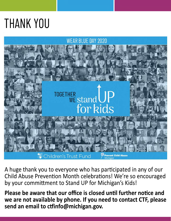# **THANK YOU**



A huge thank you to everyone who has participated in any of our Child Abuse Prevention Month celebrations! We're so encouraged by your committment to Stand UP for Michigan's Kids!

Please be aware that our office is closed until further notice and we are not available by phone. If you need to contact CTF, please send an email to ctfinfo@michigan.gov.